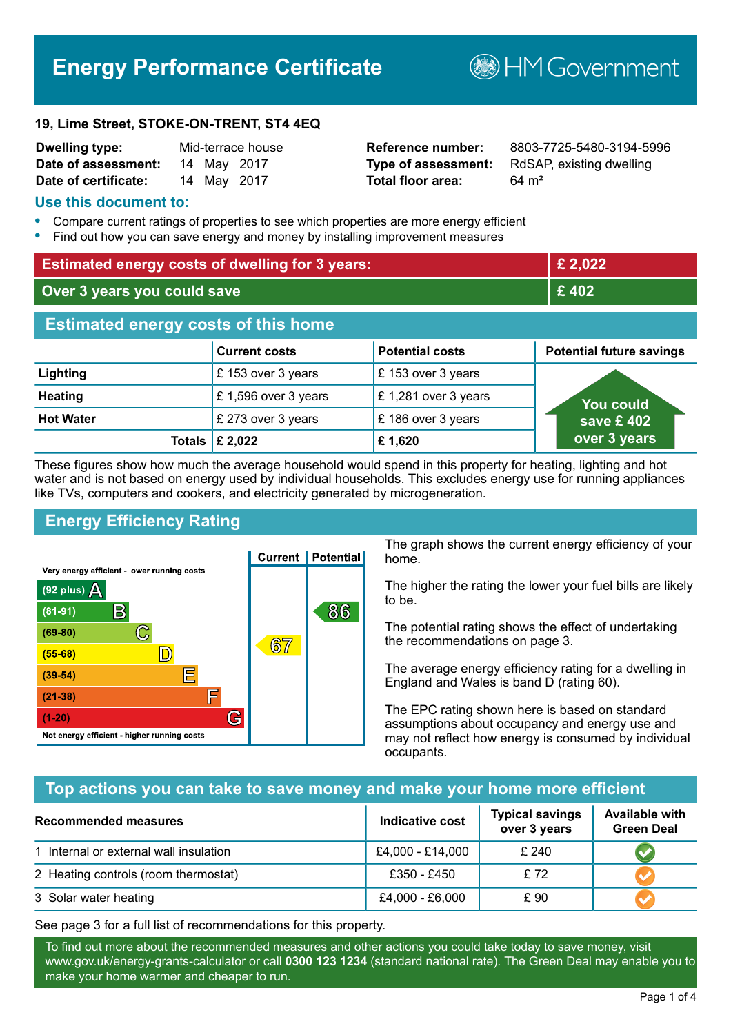# **Energy Performance Certificate**

**B**HM Government

#### **19, Lime Street, STOKE-ON-TRENT, ST4 4EQ**

| <b>Dwelling type:</b> |  | Mid-terrace house |
|-----------------------|--|-------------------|
| Date of assessment:   |  | 14 May 2017       |
| Date of certificate:  |  | 14 May 2017       |

# **Total floor area:** 64 m<sup>2</sup>

**Reference number:** 8803-7725-5480-3194-5996 **Type of assessment:** RdSAP, existing dwelling

# **Use this document to:**

- **•** Compare current ratings of properties to see which properties are more energy efficient
- **•** Find out how you can save energy and money by installing improvement measures

| <b>Estimated energy costs of dwelling for 3 years:</b> |                                 | £ 2,022                |                                 |
|--------------------------------------------------------|---------------------------------|------------------------|---------------------------------|
| Over 3 years you could save                            |                                 | £402                   |                                 |
| <b>Estimated energy costs of this home</b>             |                                 |                        |                                 |
|                                                        | <b>Current costs</b>            | <b>Potential costs</b> | <b>Potential future savings</b> |
| Lighting                                               | £153 over 3 years               | £153 over 3 years      |                                 |
| <b>Heating</b>                                         | £1,596 over 3 years             | £1,281 over 3 years    | <b>You could</b>                |
| <b>Hot Water</b>                                       | £ 273 over 3 years              | £186 over 3 years      | save £ 402 $^{\circ}$           |
|                                                        | Totals $\mathbf \epsilon$ 2,022 | £1,620                 | over 3 years                    |

These figures show how much the average household would spend in this property for heating, lighting and hot water and is not based on energy used by individual households. This excludes energy use for running appliances like TVs, computers and cookers, and electricity generated by microgeneration.

# **Energy Efficiency Rating**



The graph shows the current energy efficiency of your home.

The higher the rating the lower your fuel bills are likely to be.

The potential rating shows the effect of undertaking the recommendations on page 3.

The average energy efficiency rating for a dwelling in England and Wales is band D (rating 60).

The EPC rating shown here is based on standard assumptions about occupancy and energy use and may not reflect how energy is consumed by individual occupants.

# **Top actions you can take to save money and make your home more efficient**

| Recommended measures                   | Indicative cost  | <b>Typical savings</b><br>over 3 years | <b>Available with</b><br><b>Green Deal</b> |
|----------------------------------------|------------------|----------------------------------------|--------------------------------------------|
| 1 Internal or external wall insulation | £4,000 - £14,000 | £240                                   |                                            |
| 2 Heating controls (room thermostat)   | £350 - £450      | £72                                    |                                            |
| 3 Solar water heating                  | £4,000 - £6,000  | £ 90                                   |                                            |

See page 3 for a full list of recommendations for this property.

To find out more about the recommended measures and other actions you could take today to save money, visit www.gov.uk/energy-grants-calculator or call **0300 123 1234** (standard national rate). The Green Deal may enable you to make your home warmer and cheaper to run.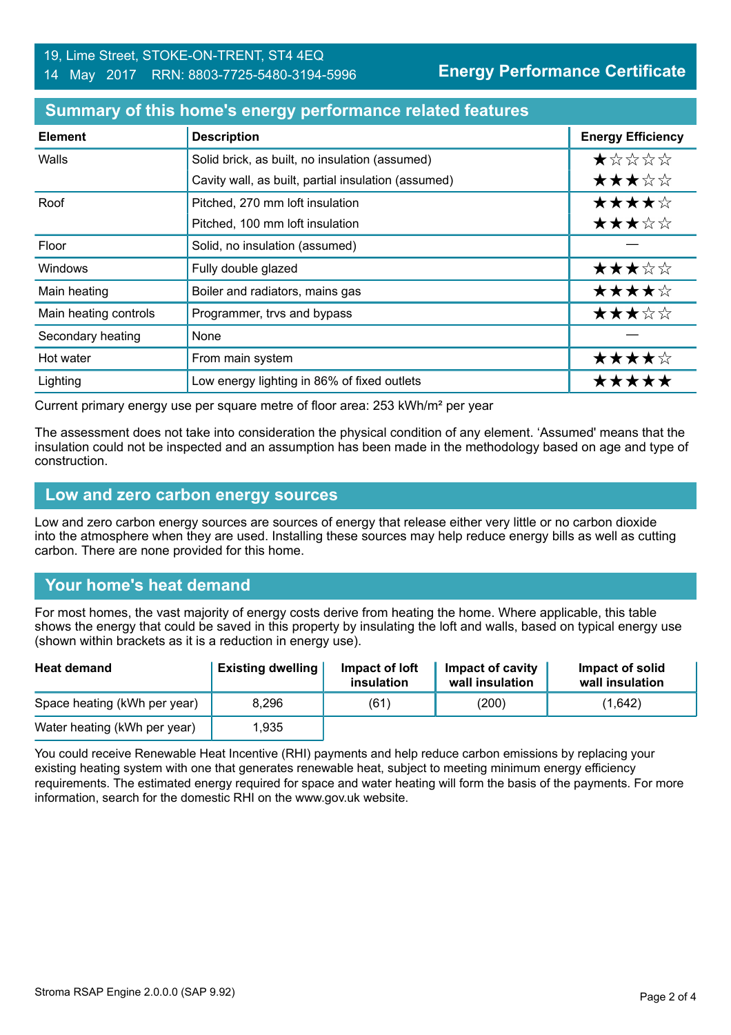# **Summary of this home's energy performance related features**

| <b>Element</b>        | <b>Description</b>                                  | <b>Energy Efficiency</b> |
|-----------------------|-----------------------------------------------------|--------------------------|
| Walls                 | Solid brick, as built, no insulation (assumed)      | *****                    |
|                       | Cavity wall, as built, partial insulation (assumed) | ★★★☆☆                    |
| Roof                  | Pitched, 270 mm loft insulation                     | ★★★★☆                    |
|                       | Pitched, 100 mm loft insulation                     | ★★★☆☆                    |
| Floor                 | Solid, no insulation (assumed)                      |                          |
| <b>Windows</b>        | Fully double glazed                                 | ★★★☆☆                    |
| Main heating          | Boiler and radiators, mains gas                     | ★★★★☆                    |
| Main heating controls | Programmer, trvs and bypass                         | ★★★☆☆                    |
| Secondary heating     | <b>None</b>                                         |                          |
| Hot water             | From main system                                    | ★★★★☆                    |
| Lighting              | Low energy lighting in 86% of fixed outlets         | *****                    |

Current primary energy use per square metre of floor area: 253 kWh/m² per year

The assessment does not take into consideration the physical condition of any element. 'Assumed' means that the insulation could not be inspected and an assumption has been made in the methodology based on age and type of construction.

#### **Low and zero carbon energy sources**

Low and zero carbon energy sources are sources of energy that release either very little or no carbon dioxide into the atmosphere when they are used. Installing these sources may help reduce energy bills as well as cutting carbon. There are none provided for this home.

# **Your home's heat demand**

For most homes, the vast majority of energy costs derive from heating the home. Where applicable, this table shows the energy that could be saved in this property by insulating the loft and walls, based on typical energy use (shown within brackets as it is a reduction in energy use).

| <b>Heat demand</b>           | <b>Existing dwelling</b> | Impact of loft<br>insulation | Impact of cavity<br>wall insulation | Impact of solid<br>wall insulation |
|------------------------------|--------------------------|------------------------------|-------------------------------------|------------------------------------|
| Space heating (kWh per year) | 8.296                    | (61)                         | (200)                               | (1,642)                            |
| Water heating (kWh per year) | 1.935                    |                              |                                     |                                    |

You could receive Renewable Heat Incentive (RHI) payments and help reduce carbon emissions by replacing your existing heating system with one that generates renewable heat, subject to meeting minimum energy efficiency requirements. The estimated energy required for space and water heating will form the basis of the payments. For more information, search for the domestic RHI on the www.gov.uk website.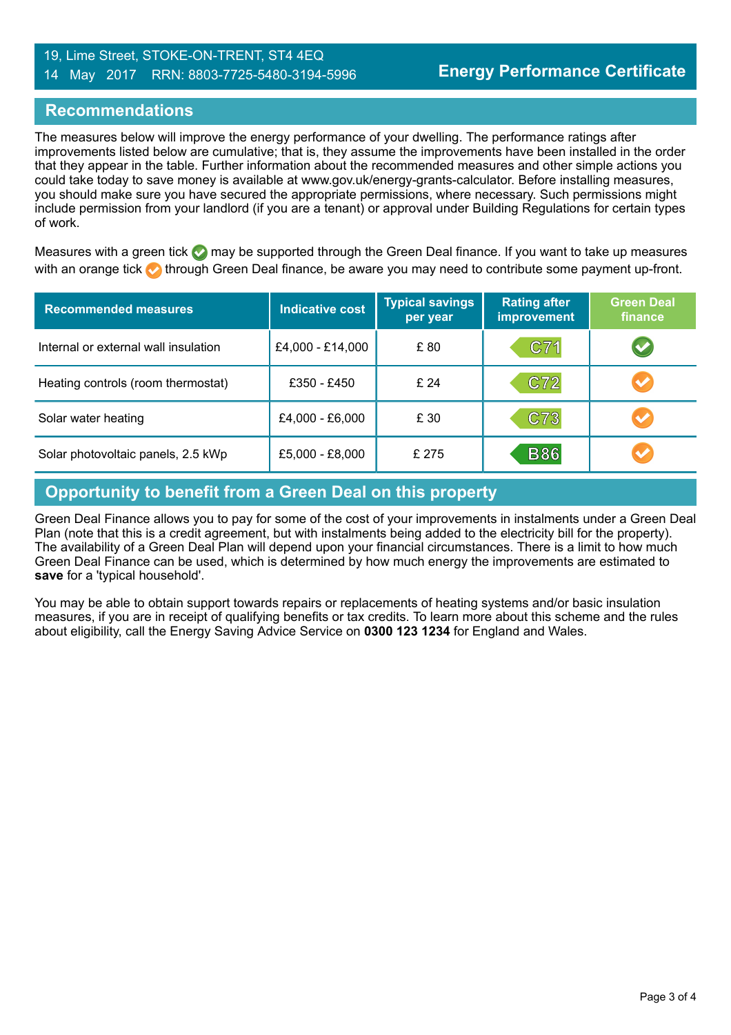## 19, Lime Street, STOKE-ON-TRENT, ST4 4EQ 14 May 2017 RRN: 8803-7725-5480-3194-5996

# **Recommendations**

The measures below will improve the energy performance of your dwelling. The performance ratings after improvements listed below are cumulative; that is, they assume the improvements have been installed in the order that they appear in the table. Further information about the recommended measures and other simple actions you could take today to save money is available at www.gov.uk/energy-grants-calculator. Before installing measures, you should make sure you have secured the appropriate permissions, where necessary. Such permissions might include permission from your landlord (if you are a tenant) or approval under Building Regulations for certain types of work.

Measures with a green tick  $\bullet$  may be supported through the Green Deal finance. If you want to take up measures with an orange tick **th** through Green Deal finance, be aware you may need to contribute some payment up-front.

| <b>Recommended measures</b>          | <b>Indicative cost</b> | <b>Typical savings</b><br>per year | <b>Rating after</b><br>improvement | <b>Green Deal</b><br>finance |
|--------------------------------------|------------------------|------------------------------------|------------------------------------|------------------------------|
| Internal or external wall insulation | £4,000 - £14,000       | £80                                | C71                                | V                            |
| Heating controls (room thermostat)   | £350 - £450            | £ 24                               | C72                                | $\blacktriangledown$         |
| Solar water heating                  | £4,000 - £6,000        | £30                                | C73                                |                              |
| Solar photovoltaic panels, 2.5 kWp   | £5,000 - £8,000        | £ 275                              | <b>B86</b>                         | $\blacktriangledown$         |

# **Opportunity to benefit from a Green Deal on this property**

Green Deal Finance allows you to pay for some of the cost of your improvements in instalments under a Green Deal Plan (note that this is a credit agreement, but with instalments being added to the electricity bill for the property). The availability of a Green Deal Plan will depend upon your financial circumstances. There is a limit to how much Green Deal Finance can be used, which is determined by how much energy the improvements are estimated to **save** for a 'typical household'.

You may be able to obtain support towards repairs or replacements of heating systems and/or basic insulation measures, if you are in receipt of qualifying benefits or tax credits. To learn more about this scheme and the rules about eligibility, call the Energy Saving Advice Service on **0300 123 1234** for England and Wales.